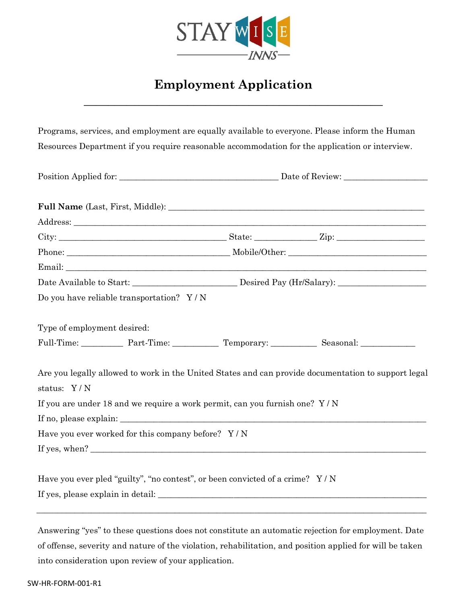

## **Employment Application**

**\_\_\_\_\_\_\_\_\_\_\_\_\_\_\_\_\_\_\_\_\_\_\_\_\_\_\_\_\_\_\_\_\_\_\_\_\_\_\_\_\_\_\_\_\_\_\_\_\_**

Programs, services, and employment are equally available to everyone. Please inform the Human Resources Department if you require reasonable accommodation for the application or interview. Position Applied for: \_\_\_\_\_\_\_\_\_\_\_\_\_\_\_\_\_\_\_\_\_\_\_\_\_\_\_\_\_\_\_\_\_\_\_\_\_\_ Date of Review: \_\_\_\_\_\_\_\_\_\_\_\_\_\_\_\_\_\_\_\_ **Full Name** (Last, First, Middle): Address: City: \_\_\_\_\_\_\_\_\_\_\_\_\_\_\_\_\_\_\_\_\_\_\_\_\_\_\_\_\_\_\_\_\_\_\_\_\_\_\_\_ State: \_\_\_\_\_\_\_\_\_\_\_\_\_\_\_ Zip: \_\_\_\_\_\_\_\_\_\_\_\_\_\_\_\_\_\_\_\_\_ Phone: The example of the example of the example of the example of the example of the example of the example of the example of the example of the example of the example of the example of the example of the example of the e Email: Date Available to Start:  $\qquad \qquad$  Desired Pay (Hr/Salary): Do you have reliable transportation? Y / N Type of employment desired: Full-Time: Part-Time: Part-Time: Temporary: Seasonal: 2007 Are you legally allowed to work in the United States and can provide documentation to support legal status: Y / N If you are under 18 and we require a work permit, can you furnish one? Y / N If no, please explain: \_\_\_\_\_\_\_\_\_\_\_\_\_\_\_\_\_\_\_\_\_\_\_\_\_\_\_\_\_\_\_\_\_\_\_\_\_\_\_\_\_\_\_\_\_\_\_\_\_\_\_\_\_\_\_\_\_\_\_\_\_\_\_\_\_\_\_\_\_\_\_\_\_ Have you ever worked for this company before? Y / N If yes, when? Have you ever pled "guilty", "no contest", or been convicted of a crime? Y/N If yes, please explain in detail: \_\_\_\_\_\_\_\_\_\_\_\_\_\_\_\_\_\_\_\_\_\_\_\_\_\_\_\_\_\_\_\_\_\_\_\_\_\_\_\_\_\_\_\_\_\_\_\_\_\_\_\_\_\_\_\_\_\_\_\_\_\_\_\_  $\overline{\phantom{a}}$  , and the contribution of the contribution of the contribution of the contribution of the contribution of the contribution of the contribution of the contribution of the contribution of the contribution of the

Answering "yes" to these questions does not constitute an automatic rejection for employment. Date of offense, severity and nature of the violation, rehabilitation, and position applied for will be taken into consideration upon review of your application.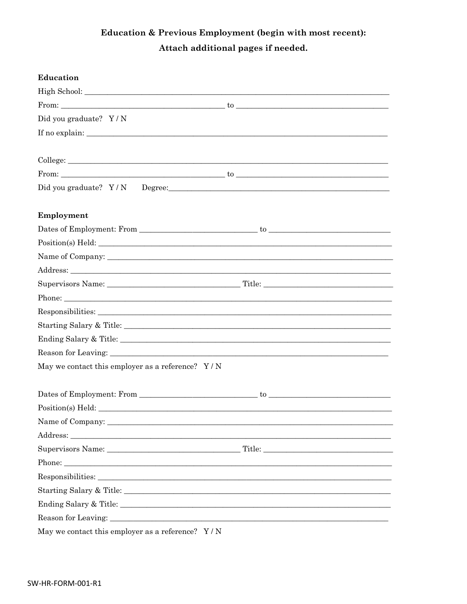## Education & Previous Employment (begin with most recent): Attach additional pages if needed.

| Education                                          |  |
|----------------------------------------------------|--|
|                                                    |  |
|                                                    |  |
| Did you graduate? Y/N                              |  |
|                                                    |  |
|                                                    |  |
| College:                                           |  |
|                                                    |  |
|                                                    |  |
| Employment                                         |  |
|                                                    |  |
|                                                    |  |
|                                                    |  |
|                                                    |  |
|                                                    |  |
|                                                    |  |
|                                                    |  |
|                                                    |  |
|                                                    |  |
|                                                    |  |
| May we contact this employer as a reference? $Y/N$ |  |
|                                                    |  |
|                                                    |  |
| Position(s) Held:                                  |  |
|                                                    |  |
|                                                    |  |
|                                                    |  |
|                                                    |  |
|                                                    |  |
| Starting Salary & Title:                           |  |
|                                                    |  |
|                                                    |  |
| May we contact this employer as a reference? $Y/N$ |  |